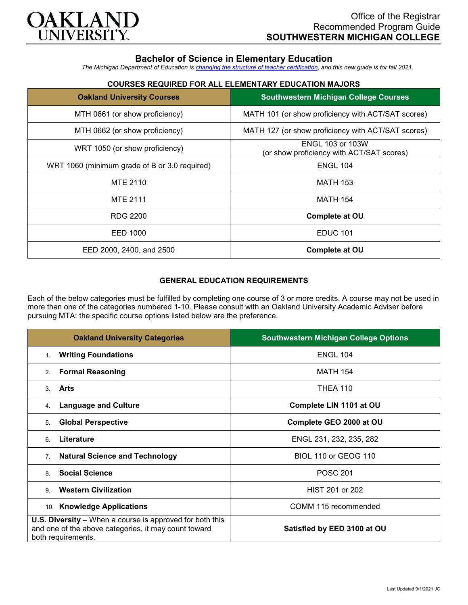

# **Bachelor of Science in Elementary Education**

*The Michigan Department of Education is [changing the structure of teacher certification,](https://docs.google.com/document/d/1W1uUK14Njx6WAB56T4jHbat65OZyg6TS04LdNWMXEcI/edit) and this new guide is for fall 2021.*

## **COURSES REQUIRED FOR ALL ELEMENTARY EDUCATION MAJORS**

| <b>Oakland University Courses</b>             | <b>Southwestern Michigan College Courses</b>                         |
|-----------------------------------------------|----------------------------------------------------------------------|
| MTH 0661 (or show proficiency)                | MATH 101 (or show proficiency with ACT/SAT scores)                   |
| MTH 0662 (or show proficiency)                | MATH 127 (or show proficiency with ACT/SAT scores)                   |
| WRT 1050 (or show proficiency)                | <b>ENGL 103 or 103W</b><br>(or show proficiency with ACT/SAT scores) |
| WRT 1060 (minimum grade of B or 3.0 required) | <b>ENGL 104</b>                                                      |
| MTE 2110                                      | <b>MATH 153</b>                                                      |
| <b>MTE 2111</b>                               | <b>MATH 154</b>                                                      |
| RDG 2200                                      | <b>Complete at OU</b>                                                |
| EED 1000                                      | <b>EDUC 101</b>                                                      |
| EED 2000, 2400, and 2500                      | Complete at OU                                                       |

### **GENERAL EDUCATION REQUIREMENTS**

Each of the below categories must be fulfilled by completing one course of 3 or more credits. A course may not be used in more than one of the categories numbered 1-10. Please consult with an Oakland University Academic Adviser before pursuing MTA: the specific course options listed below are the preference.

| <b>Oakland University Categories</b>                                                                                                          | <b>Southwestern Michigan College Options</b> |
|-----------------------------------------------------------------------------------------------------------------------------------------------|----------------------------------------------|
| <b>Writing Foundations</b><br>$1_{-}$                                                                                                         | <b>ENGL 104</b>                              |
| <b>Formal Reasoning</b><br>2.                                                                                                                 | <b>MATH 154</b>                              |
| Arts<br>3                                                                                                                                     | <b>THEA 110</b>                              |
| <b>Language and Culture</b><br>4.                                                                                                             | Complete LIN 1101 at OU                      |
| <b>Global Perspective</b><br>5.                                                                                                               | Complete GEO 2000 at OU                      |
| Literature<br>6                                                                                                                               | ENGL 231, 232, 235, 282                      |
| <b>Natural Science and Technology</b><br>7.                                                                                                   | <b>BIOL 110 or GEOG 110</b>                  |
| <b>Social Science</b><br>8                                                                                                                    | <b>POSC 201</b>                              |
| <b>Western Civilization</b><br>9                                                                                                              | HIST 201 or 202                              |
| <b>Knowledge Applications</b><br>10.                                                                                                          | COMM 115 recommended                         |
| <b>U.S. Diversity</b> – When a course is approved for both this<br>and one of the above categories, it may count toward<br>both requirements. | Satisfied by EED 3100 at OU                  |